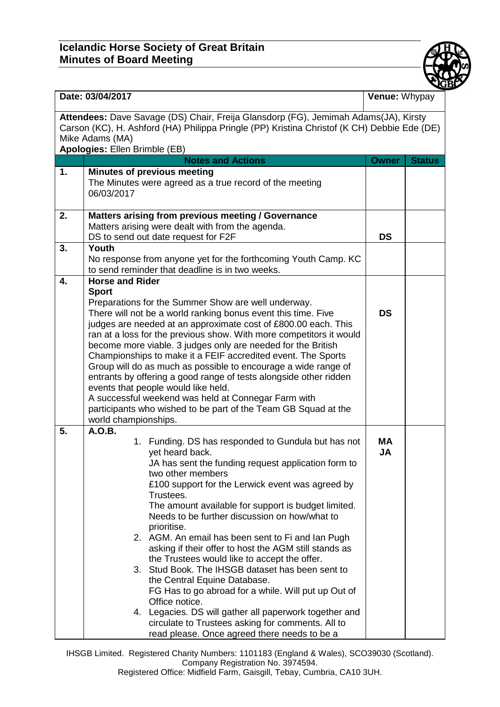## **Icelandic Horse Society of Great Britain Minutes of Board Meeting**



| Date: 03/04/2017                                                                                                                                                                                                                       |                                                                                                                                                                                                                                                                                                                                                                                                                                                                                                                                                                                                                                                                                                                                                                                                                                                | Venue: Whypay   |               |  |
|----------------------------------------------------------------------------------------------------------------------------------------------------------------------------------------------------------------------------------------|------------------------------------------------------------------------------------------------------------------------------------------------------------------------------------------------------------------------------------------------------------------------------------------------------------------------------------------------------------------------------------------------------------------------------------------------------------------------------------------------------------------------------------------------------------------------------------------------------------------------------------------------------------------------------------------------------------------------------------------------------------------------------------------------------------------------------------------------|-----------------|---------------|--|
| Attendees: Dave Savage (DS) Chair, Freija Glansdorp (FG), Jemimah Adams(JA), Kirsty<br>Carson (KC), H. Ashford (HA) Philippa Pringle (PP) Kristina Christof (K CH) Debbie Ede (DE)<br>Mike Adams (MA)<br>Apologies: Ellen Brimble (EB) |                                                                                                                                                                                                                                                                                                                                                                                                                                                                                                                                                                                                                                                                                                                                                                                                                                                |                 |               |  |
|                                                                                                                                                                                                                                        | <b>Notes and Actions</b>                                                                                                                                                                                                                                                                                                                                                                                                                                                                                                                                                                                                                                                                                                                                                                                                                       | <b>Owner</b>    | <b>Status</b> |  |
| 1.                                                                                                                                                                                                                                     | <b>Minutes of previous meeting</b><br>The Minutes were agreed as a true record of the meeting<br>06/03/2017                                                                                                                                                                                                                                                                                                                                                                                                                                                                                                                                                                                                                                                                                                                                    |                 |               |  |
| 2.                                                                                                                                                                                                                                     | Matters arising from previous meeting / Governance<br>Matters arising were dealt with from the agenda.<br>DS to send out date request for F2F                                                                                                                                                                                                                                                                                                                                                                                                                                                                                                                                                                                                                                                                                                  | <b>DS</b>       |               |  |
| 3.                                                                                                                                                                                                                                     | Youth<br>No response from anyone yet for the forthcoming Youth Camp. KC<br>to send reminder that deadline is in two weeks.                                                                                                                                                                                                                                                                                                                                                                                                                                                                                                                                                                                                                                                                                                                     |                 |               |  |
| 4.                                                                                                                                                                                                                                     | <b>Horse and Rider</b><br><b>Sport</b><br>Preparations for the Summer Show are well underway.<br>There will not be a world ranking bonus event this time. Five<br>judges are needed at an approximate cost of £800.00 each. This<br>ran at a loss for the previous show. With more competitors it would<br>become more viable. 3 judges only are needed for the British<br>Championships to make it a FEIF accredited event. The Sports<br>Group will do as much as possible to encourage a wide range of<br>entrants by offering a good range of tests alongside other ridden<br>events that people would like held.<br>A successful weekend was held at Connegar Farm with<br>participants who wished to be part of the Team GB Squad at the<br>world championships.                                                                         | <b>DS</b>       |               |  |
| 5.                                                                                                                                                                                                                                     | A.O.B.<br>1. Funding. DS has responded to Gundula but has not<br>yet heard back.<br>JA has sent the funding request application form to<br>two other members<br>£100 support for the Lerwick event was agreed by<br>Trustees.<br>The amount available for support is budget limited.<br>Needs to be further discussion on how/what to<br>prioritise.<br>2. AGM. An email has been sent to Fi and lan Pugh<br>asking if their offer to host the AGM still stands as<br>the Trustees would like to accept the offer.<br>3. Stud Book. The IHSGB dataset has been sent to<br>the Central Equine Database.<br>FG Has to go abroad for a while. Will put up Out of<br>Office notice.<br>4. Legacies. DS will gather all paperwork together and<br>circulate to Trustees asking for comments. All to<br>read please. Once agreed there needs to be a | МA<br><b>JA</b> |               |  |

IHSGB Limited. Registered Charity Numbers: 1101183 (England & Wales), SCO39030 (Scotland). Company Registration No. 3974594. Registered Office: Midfield Farm, Gaisgill, Tebay, Cumbria, CA10 3UH.